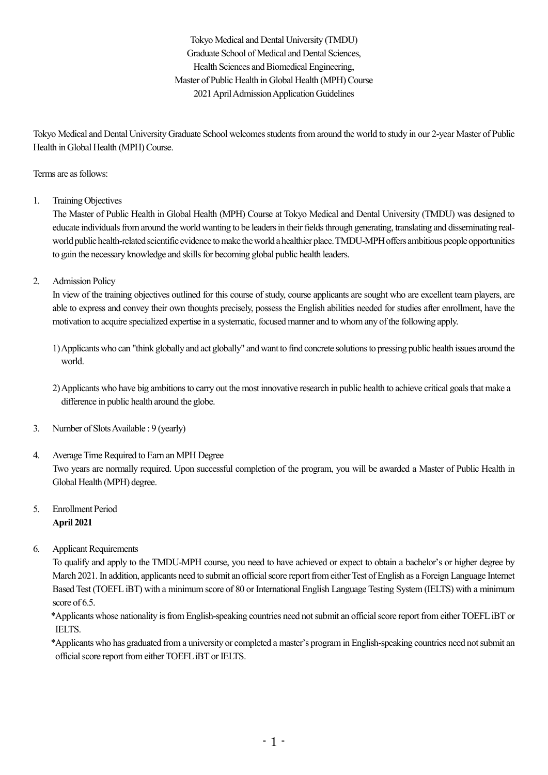Tokyo Medical and Dental University (TMDU) Graduate School of Medical and Dental Sciences, Health Sciences and Biomedical Engineering, Master of Public Health in Global Health (MPH) Course 2021AprilAdmissionApplication Guidelines

Tokyo Medical and Dental University Graduate School welcomes students from around the world to study in our 2-year Master of Public Health in Global Health (MPH) Course.

## Terms are as follows:

1. Training Objectives

The Master of Public Health in Global Health (MPH) Course at Tokyo Medical and Dental University (TMDU) was designed to educate individuals from around the world wanting to be leaders in their fields through generating, translating and disseminating realworld public health-related scientific evidence to make the world a healthier place. TMDU-MPH offers ambitious people opportunities to gain the necessary knowledge and skills for becoming global public health leaders.

2. Admission Policy

In view of the training objectives outlined for this course of study, course applicants are sought who are excellent team players, are able to express and convey their own thoughts precisely, possess the English abilities needed for studies after enrollment, have the motivation to acquire specialized expertise in a systematic, focused manner and to whomany of the following apply.

1)Applicants who can "think globally and act globally" and want to find concrete solutionsto pressing public health issues around the world.

2) Applicants who have big ambitions to carry out the most innovative research in public health to achieve critical goals that make a difference in public health around the globe.

- 3. Number of SlotsAvailable : 9 (yearly)
- 4. Average Time Required to Earn an MPH Degree Two years are normally required. Upon successful completion of the program, you will be awarded a Master of Public Health in Global Health (MPH) degree.
- 5. Enrollment Period **April 2021**
- 6. Applicant Requirements

To qualify and apply to the TMDU-MPH course, you need to have achieved or expect to obtain a bachelor's or higher degree by March 2021. In addition, applicants need to submit an official score report from either Test of English as a Foreign Language Internet Based Test (TOEFLiBT) with a minimum score of 80 or International English Language Testing System (IELTS) with a minimum score of 6.5.

\*Applicants whose nationality isfromEnglish-speaking countries need notsubmit an officialscore reportfrom eitherTOEFLiBTor IELTS.

\*Applicants who has graduated from a university or completed a master's program in English-speaking countries need notsubmit an official score report from either TOEFL iBT or IELTS.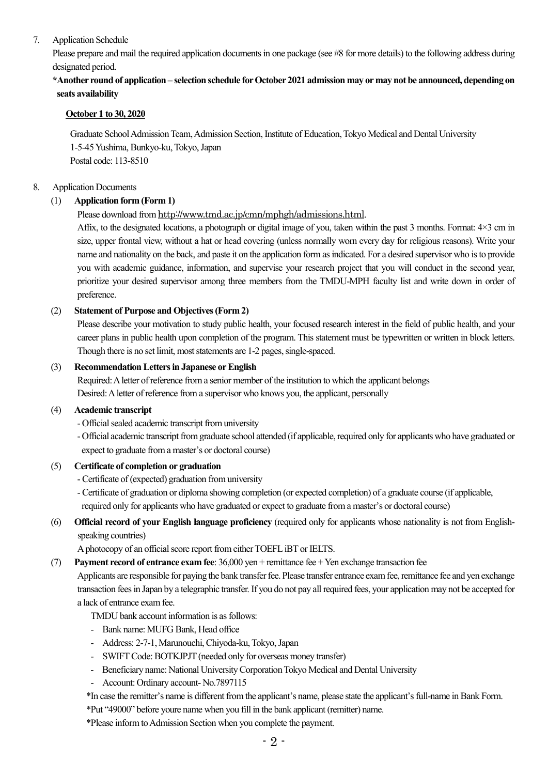## 7. Application Schedule

Please prepare and mail the required application documents in one package (see #8 for more details) to the following address during designated period.

# **\*Another roundof application – selection schedule forOctober2021 admission may ormay not be announced, depending on seats availability**

#### **October 1 to 30, 2020**

Graduate SchoolAdmissionTeam,Admission Section, Institute of Education,Tokyo Medical and Dental University 1-5-45Yushima, Bunkyo-ku,Tokyo,Japan Postal code: 113-8510

#### 8. Application Documents

## (1) **Application form (Form 1)**

Please download from http://www.tmd.ac.jp/cmn/mphgh/admissions.html.

Affix, to the designated locations, a photograph or digital image of you, taken within the past 3 months. Format: 4×3 cm in size, upper frontal view, without a hat or head covering (unless normally worn every day for religious reasons). Write your name and nationality on the back, and paste it on the application form asindicated. For a desired supervisor who isto provide you with academic guidance, information, and supervise your research project that you will conduct in the second year, prioritize your desired supervisor among three members from the TMDU-MPH faculty list and write down in order of preference.

## (2) **Statement of Purpose and Objectives(Form 2)**

Please describe your motivation to study public health, your focused research interest in the field of public health, and your career plans in public health upon completion of the program. This statement must be typewritten or written in block letters. Though there is no set limit, most statements are 1-2 pages, single-spaced.

#### (3) **RecommendationLettersin Japanese orEnglish**

Required:Aletter of reference froma senior member of the institution to which the applicant belongs Desired:Aletter of reference from a supervisor who knows you, the applicant, personally

#### (4) **Academic transcript**

- Official sealed academic transcript from university
- Official academic transcript from graduate school attended (if applicable, required only for applicants who have graduated or expect to graduate froma master's or doctoral course)

#### (5) **Certificate of completion or graduation**

- Certificate of (expected) graduation fromuniversity
- Certificate of graduation or diploma showing completion (or expected completion) of a graduate course (if applicable, required only for applicants who have graduated or expect to graduate froma master's or doctoral course)
- (6) **Official record of your English language proficiency** (required only for applicants whose nationality is not from Englishspeaking countries)

A photocopy of an official score report from either TOEFL iBT or IELTS.

(7) **Payment record of entrance exam fee**: 36,000 yen + remittance fee +Yen exchange transaction fee

Applicants are responsible for paying the bank transfer fee. Please transfer entrance exam fee, remittance fee and yen exchange transaction feesin Japan by a telegraphic transfer. If you do not pay allrequired fees, your application may not be accepted for a lack of entrance examfee.

TMDU bank account information is as follows:

- Bank name: MUFG Bank, Head office
- Address: 2-7-1, Marunouchi, Chiyoda-ku, Tokyo, Japan
- SWIFT Code: BOTKJPJT (needed only for overseas money transfer)
- Beneficiary name: National University Corporation Tokyo Medical and Dental University
- Account: Ordinary account- No.7897115
- \*In case the remitter's name is differentfromthe applicant's name, please state the applicant'sfull-name inBank Form.
- \*Put "49000" before youre name when you fill in the bank applicant(remitter) name.

\*Please informtoAdmission Section when you complete the payment.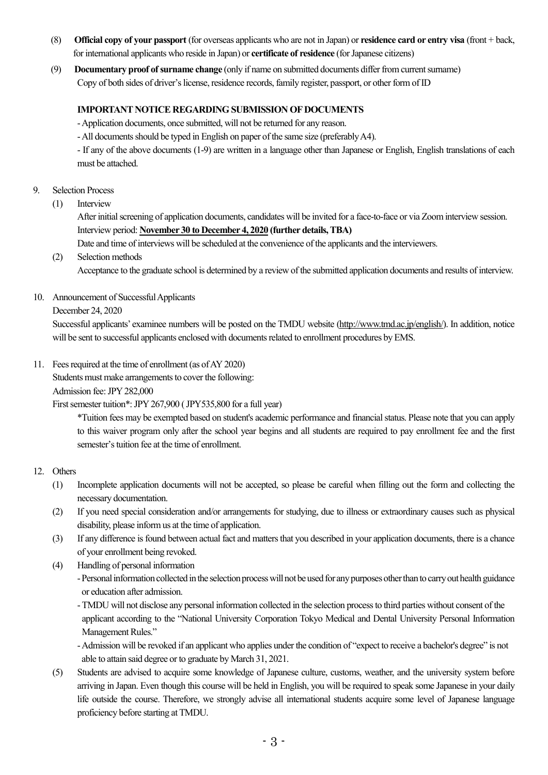- (8) **Official copy of your passport** (for overseas applicants who are not in Japan) or **residence card or entry visa** (front + back, for international applicants who reside in Japan) or **certificate of residence** (for Japanese citizens)
- (9) **Documentary proof ofsurname change** (only if name on submitted documents differ fromcurrentsurname) Copy of both sides of driver's license, residence records, family register, passport, or other form of ID

## **IMPORTANT NOTICE REGARDING SUBMISSION OF DOCUMENTS**

-Application documents, once submitted, will not be returned for any reason.

- All documents should be typed in English on paper of the same size (preferably A4).

- If any of the above documents (1-9) are written in a language other than Japanese or English, English translations of each must be attached.

#### 9. Selection Process

(1) Interview

After initial screening of application documents, candidates will be invited for a face-to-face or via Zoom interview session. Interview period: **November 30 to December 4, 2020 (further details,TBA)**

Date and time of interviews will be scheduled at the convenience of the applicants and the interviewers.

(2) Selection methods Acceptance to the graduate school is determined by a review of the submitted application documents and results of interview.

#### 10. Announcement of Successful Applicants

December 24, 2020

Successful applicants' examinee numbers will be posted on the TMDU website (http://www.tmd.ac.jp/english/). In addition, notice will be sent to successful applicants enclosed with documentsrelated to enrollment procedures by EMS.

11. Fees required at the time of enrollment (as of AY 2020)

Students must make arrangements to cover the following:

Admission fee:JPY282,000

First semester tuition\*: JPY 267,900 (JPY535,800 for a full year)

\*Tuition fees may be exempted based on student's academic performance and financialstatus. Please note that you can apply to this waiver program only after the school year begins and all students are required to pay enrollment fee and the first semester's tuition fee at the time of enrollment.

#### 12. Others

- (1) Incomplete application documents will not be accepted, so please be careful when filling out the form and collecting the necessary documentation.
- (2) If you need special consideration and/or arrangements for studying, due to illness or extraordinary causes such as physical disability, please informus at the time of application.
- (3) If any difference is found between actual fact and matters that you described in your application documents, there is a chance of your enrollment being revoked.
- (4) Handling of personal information

- Personal information collected in the selection process will not be used for any purposes other than to carry out health guidance or education after admission.

-TMDU will not disclose any personal information collected in the selection processto third parties without consent of the applicant according to the "National University Corporation Tokyo Medical and Dental University Personal Information Management Rules."

-Admission will be revoked if an applicant who applies under the condition of "expect to receive a bachelor's degree" is not able to attain said degree or to graduate by March 31, 2021.

(5) Students are advised to acquire some knowledge of Japanese culture, customs, weather, and the university system before arriving in Japan. Even though this course will be held in English, you will be required to speak some Japanese in your daily life outside the course. Therefore, we strongly advise all international students acquire some level of Japanese language proficiency before starting at TMDU.